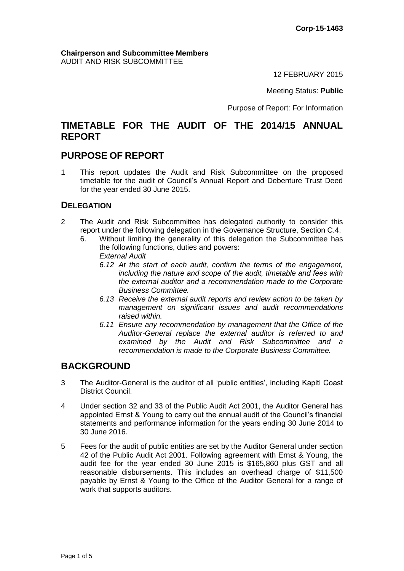#### **Chairperson and Subcommittee Members** AUDIT AND RISK SUBCOMMITTEE

12 FEBRUARY 2015

Meeting Status: **Public**

Purpose of Report: For Information

# **TIMETABLE FOR THE AUDIT OF THE 2014/15 ANNUAL REPORT**

# **PURPOSE OF REPORT**

1 This report updates the Audit and Risk Subcommittee on the proposed timetable for the audit of Council's Annual Report and Debenture Trust Deed for the year ended 30 June 2015.

## **DELEGATION**

- 2 The Audit and Risk Subcommittee has delegated authority to consider this report under the following delegation in the Governance Structure, Section C.4.
	- 6. Without limiting the generality of this delegation the Subcommittee has the following functions, duties and powers: *External Audit*
		- *6.12 At the start of each audit, confirm the terms of the engagement, including the nature and scope of the audit, timetable and fees with the external auditor and a recommendation made to the Corporate Business Committee.*
		- *6.13 Receive the external audit reports and review action to be taken by management on significant issues and audit recommendations raised within.*
		- *6.11 Ensure any recommendation by management that the Office of the Auditor-General replace the external auditor is referred to and examined by the Audit and Risk Subcommittee and a recommendation is made to the Corporate Business Committee.*

# **BACKGROUND**

- 3 The Auditor-General is the auditor of all 'public entities', including Kapiti Coast District Council.
- 4 Under section 32 and 33 of the Public Audit Act 2001, the Auditor General has appointed Ernst & Young to carry out the annual audit of the Council's financial statements and performance information for the years ending 30 June 2014 to 30 June 2016.
- 5 Fees for the audit of public entities are set by the Auditor General under section 42 of the Public Audit Act 2001. Following agreement with Ernst & Young, the audit fee for the year ended 30 June 2015 is \$165,860 plus GST and all reasonable disbursements. This includes an overhead charge of \$11,500 payable by Ernst & Young to the Office of the Auditor General for a range of work that supports auditors.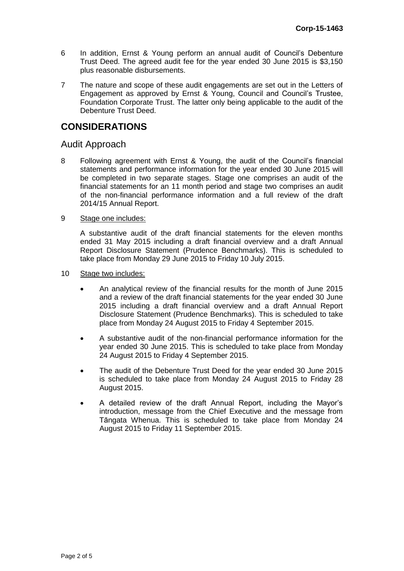- 6 In addition, Ernst & Young perform an annual audit of Council's Debenture Trust Deed. The agreed audit fee for the year ended 30 June 2015 is \$3,150 plus reasonable disbursements.
- 7 The nature and scope of these audit engagements are set out in the Letters of Engagement as approved by Ernst & Young, Council and Council's Trustee, Foundation Corporate Trust. The latter only being applicable to the audit of the Debenture Trust Deed.

# **CONSIDERATIONS**

## Audit Approach

8 Following agreement with Ernst & Young, the audit of the Council's financial statements and performance information for the year ended 30 June 2015 will be completed in two separate stages. Stage one comprises an audit of the financial statements for an 11 month period and stage two comprises an audit of the non-financial performance information and a full review of the draft 2014/15 Annual Report.

#### 9 Stage one includes:

A substantive audit of the draft financial statements for the eleven months ended 31 May 2015 including a draft financial overview and a draft Annual Report Disclosure Statement (Prudence Benchmarks). This is scheduled to take place from Monday 29 June 2015 to Friday 10 July 2015.

#### 10 Stage two includes:

- An analytical review of the financial results for the month of June 2015 and a review of the draft financial statements for the year ended 30 June 2015 including a draft financial overview and a draft Annual Report Disclosure Statement (Prudence Benchmarks). This is scheduled to take place from Monday 24 August 2015 to Friday 4 September 2015.
- A substantive audit of the non-financial performance information for the year ended 30 June 2015. This is scheduled to take place from Monday 24 August 2015 to Friday 4 September 2015.
- The audit of the Debenture Trust Deed for the year ended 30 June 2015 is scheduled to take place from Monday 24 August 2015 to Friday 28 August 2015.
- A detailed review of the draft Annual Report, including the Mayor's introduction, message from the Chief Executive and the message from Tāngata Whenua. This is scheduled to take place from Monday 24 August 2015 to Friday 11 September 2015.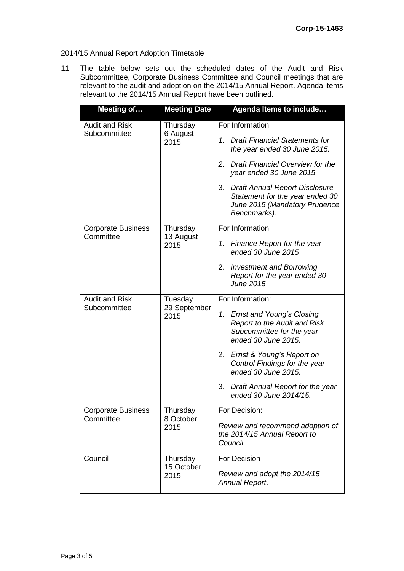## 2014/15 Annual Report Adoption Timetable

11 The table below sets out the scheduled dates of the Audit and Risk Subcommittee, Corporate Business Committee and Council meetings that are relevant to the audit and adoption on the 2014/15 Annual Report. Agenda items relevant to the 2014/15 Annual Report have been outlined.

| <b>Meeting of</b>                                                        | <b>Meeting Date</b>    | Agenda Items to include                                                                                                         |  |  |  |  |  |  |
|--------------------------------------------------------------------------|------------------------|---------------------------------------------------------------------------------------------------------------------------------|--|--|--|--|--|--|
| <b>Audit and Risk</b><br>Subcommittee                                    | Thursday<br>6 August   | For Information:                                                                                                                |  |  |  |  |  |  |
|                                                                          | 2015                   | 1. Draft Financial Statements for<br>the year ended 30 June 2015.                                                               |  |  |  |  |  |  |
|                                                                          |                        | Draft Financial Overview for the<br>2.<br>year ended 30 June 2015.                                                              |  |  |  |  |  |  |
|                                                                          |                        | 3.<br><b>Draft Annual Report Disclosure</b><br>Statement for the year ended 30<br>June 2015 (Mandatory Prudence<br>Benchmarks). |  |  |  |  |  |  |
| <b>Corporate Business</b><br>Committee                                   | Thursday<br>13 August  | For Information:                                                                                                                |  |  |  |  |  |  |
|                                                                          | 2015                   | <b>Finance Report for the year</b><br>1.<br>ended 30 June 2015                                                                  |  |  |  |  |  |  |
|                                                                          |                        | <b>Investment and Borrowing</b><br>2.<br>Report for the year ended 30<br><b>June 2015</b>                                       |  |  |  |  |  |  |
| <b>Audit and Risk</b><br>Tuesday<br>Subcommittee<br>29 September<br>2015 |                        | For Information:                                                                                                                |  |  |  |  |  |  |
|                                                                          |                        | 1. Ernst and Young's Closing<br><b>Report to the Audit and Risk</b><br>Subcommittee for the year<br>ended 30 June 2015.         |  |  |  |  |  |  |
|                                                                          |                        | 2. Ernst & Young's Report on<br>Control Findings for the year<br>ended 30 June 2015.                                            |  |  |  |  |  |  |
|                                                                          |                        | Draft Annual Report for the year<br>3.<br>ended 30 June 2014/15.                                                                |  |  |  |  |  |  |
| <b>Corporate Business</b><br>Committee                                   | Thursday<br>8 October  | For Decision:                                                                                                                   |  |  |  |  |  |  |
|                                                                          | 2015                   | Review and recommend adoption of<br>the 2014/15 Annual Report to<br>Council.                                                    |  |  |  |  |  |  |
| Council                                                                  | Thursday<br>15 October | For Decision                                                                                                                    |  |  |  |  |  |  |
|                                                                          | 2015                   | Review and adopt the 2014/15<br>Annual Report.                                                                                  |  |  |  |  |  |  |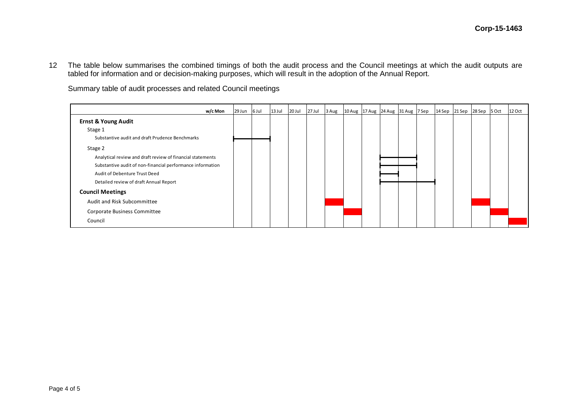12 The table below summarises the combined timings of both the audit process and the Council meetings at which the audit outputs are tabled for information and or decision-making purposes, which will result in the adoption of the Annual Report.

Summary table of audit processes and related Council meetings

| w/c Mon                                                    | 29 Jun 6 Jul | 13 Jul | 20 Jul | 27 Jul | 3 Aug | 10 Aug 17 Aug 24 Aug 31 Aug 7 Sep |  | 14 Sep 21 Sep 28 Sep 5 Oct |  | 12 Oct |
|------------------------------------------------------------|--------------|--------|--------|--------|-------|-----------------------------------|--|----------------------------|--|--------|
| <b>Ernst &amp; Young Audit</b>                             |              |        |        |        |       |                                   |  |                            |  |        |
| Stage 1                                                    |              |        |        |        |       |                                   |  |                            |  |        |
| Substantive audit and draft Prudence Benchmarks            |              |        |        |        |       |                                   |  |                            |  |        |
| Stage 2                                                    |              |        |        |        |       |                                   |  |                            |  |        |
| Analytical review and draft review of financial statements |              |        |        |        |       |                                   |  |                            |  |        |
| Substantive audit of non-financial performance information |              |        |        |        |       |                                   |  |                            |  |        |
| Audit of Debenture Trust Deed                              |              |        |        |        |       |                                   |  |                            |  |        |
| Detailed review of draft Annual Report                     |              |        |        |        |       |                                   |  |                            |  |        |
| <b>Council Meetings</b>                                    |              |        |        |        |       |                                   |  |                            |  |        |
| Audit and Risk Subcommittee                                |              |        |        |        |       |                                   |  |                            |  |        |
| Corporate Business Committee                               |              |        |        |        |       |                                   |  |                            |  |        |
| Council                                                    |              |        |        |        |       |                                   |  |                            |  |        |